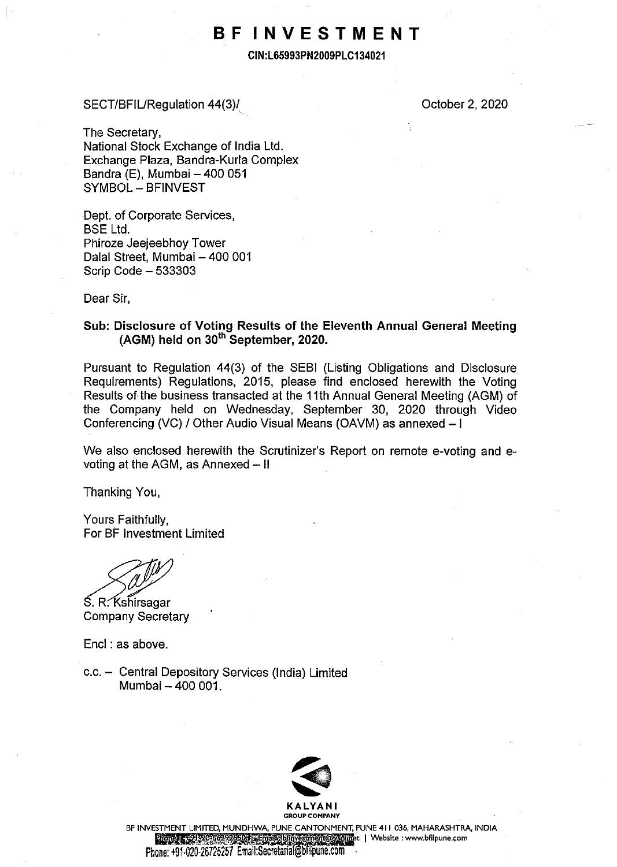# **BF INVESTMENT**

**CIN:L65993PN2009PLC134021** 

## SECT/BFIURegulation 44(3)/

October 2, 2020

The Secretary, National Stock Exchange of India Ltd. Exchange Plaza, Bandra-Kurla Complex Bandra  $(E)$ , Mumbai - 400 051 SYMBOL - BFINVEST

Dept. of Corporate Services, BSE Ltd. Phiroze Jeejeebhoy Tower Dalal Street, Mumbai - 400 001 Scrip Code - 533303

Dear Sir,

## **Sub: Disclosure of Voting Results of the Eleventh Annual General Meeting (AGM) held on 30th September, 2020.**

Pursuant to Regulation 44(3) of the SEBI (Listing Obligations and Disclosure Requirements) Regulations, 2015, please find enclosed herewith the Voting Results of the business transacted at the 11th Annual General Meeting (AGM) of the Company held on Wednesday, September 30, 2020 through Video Conferencing (VC) / Other Audio Visual Means (OAVM) as annexed - l

We also enclosed herewith the Scrutinizer's Report on remote e-voting and evoting at the AGM, as Annexed  $-$  II

Thanking You,

Yours Faithfully, For BF Investment Limited

exactly<br>S. R. Kshirsagar<br>Company Secretary

**Company Secretary** 

Encl : as above.

c.c. - Central Depository Services (India) Limited Mumbai - 400 001.



BF INVESTMENT LIMITED, MUNDHWA, PUNE CANTONMENT, PUNE 411 036, MAHARASHTRA, INDIA **Diones : 4: 0:500:669995500 Email@binyestment@ysolinet | Website : www.bfilpune.com** 

Phone: +91-020-26725257 Email:Secretarial@bfilpune.com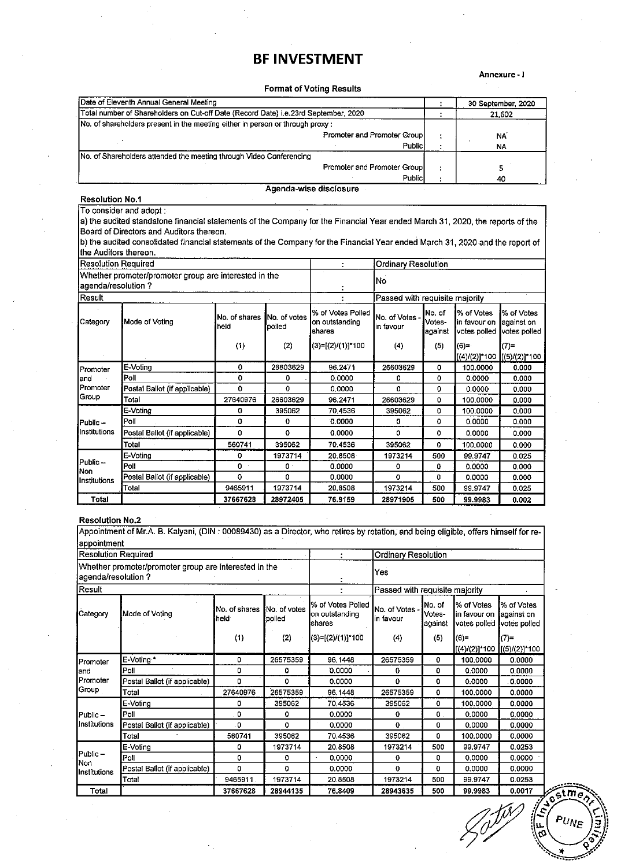# **BF INVESTMENT**

Annexure-1

## Format of Voting Results

|        |                                                                   | 30 September, 2020 |
|--------|-------------------------------------------------------------------|--------------------|
|        |                                                                   | 21,602             |
|        |                                                                   |                    |
|        |                                                                   | NA                 |
| Public |                                                                   | <b>NA</b>          |
|        |                                                                   |                    |
|        |                                                                   |                    |
| Public |                                                                   | 40                 |
|        | Promoter and Promoter Group<br><b>Promoter and Promoter Group</b> |                    |

#### Resolution No.1

#### To consider and adopt:

a) the audited standalone financial statements of the Company for the Financial Year ended March 31, 2020, the reports of the Board of Directors and Auditors thereon.

b) the audited consolidated financial statements of the Company for the Financial Year ended March 31, 2020 and the report of the Auditors thereon.

|                                                                             | IResolution Required          |                       |                               |                                                 | <b>Ordinary Resolution</b>     |                              |                                             |                                           |
|-----------------------------------------------------------------------------|-------------------------------|-----------------------|-------------------------------|-------------------------------------------------|--------------------------------|------------------------------|---------------------------------------------|-------------------------------------------|
| Whether promoter/promoter group are interested in the<br>agenda/resolution? |                               |                       |                               |                                                 | lNo.                           |                              |                                             |                                           |
| Result                                                                      |                               |                       |                               |                                                 | Passed with requisite majority |                              |                                             |                                           |
| Category                                                                    | Mode of Voting                | No. of shares<br>held | <b>No. of votes</b><br>polled | % of Votes Polled<br>lon outstanding<br>Ishares | No. of Votes -<br>lin favour   | No. of<br>Votes-<br> against | % of Votes<br>lin favour on<br>votes polled | % of Votes<br>lagainst on<br>votes polled |
|                                                                             |                               | (1)                   | (2)                           | (3)=[(2)/(1)]*100                               | (4)                            | (5)                          | (6)≖                                        | $(7)$ =                                   |
|                                                                             |                               |                       |                               |                                                 |                                |                              | [(4)/(2)]*100   (5)/(2)]*100                |                                           |
| Promoter                                                                    | E-Voting                      | 0                     | 26603629                      | 96.2471                                         | 26603629                       | 0                            | 100,0000                                    | 0.000                                     |
| land                                                                        | Poll                          | 0                     | ٥                             | 0.0000                                          | ٥                              | 0                            | 0.0000                                      | 0.000                                     |
| Promoter                                                                    | Postal Ballot (if applicable) | 0                     | $\Omega$                      | 0.0000                                          | o                              | 0                            | 0.0000                                      | 0.000                                     |
| Group                                                                       | Total                         | 27640976              | 26603629                      | 96.2471                                         | 26603629                       | 0                            | 100.0000                                    | 0.000                                     |
|                                                                             | E-Voting                      | 0                     | 395062                        | 70,4536                                         | 395062                         | 0                            | 100.0000                                    | 0.000                                     |
| IPublic –                                                                   | Poli                          | 0                     | 0                             | 0.0000                                          | o                              | 0                            | 0.0000                                      | 0.000                                     |
| Institutions                                                                | Postal Ballot (if applicable) | ٥                     | ٥                             | 0.0000                                          | Ω                              | ٥                            | 0.0000                                      | 0.000                                     |
|                                                                             | Total                         | 560741                | 395062                        | 70,4536                                         | 395062                         | $\mathbf{0}$                 | 100.0000                                    | 0.000                                     |
|                                                                             | E-Voting                      | 0                     | 1973714                       | 20.8508                                         | 1973214                        | 500                          | 99.9747                                     | 0.025                                     |
| Public-<br>Non<br>Institutions                                              | Poll                          | 0                     | $\mathbf{0}$ .                | 0.0000                                          | o                              | 0                            | 0.0000                                      | 0.000                                     |
|                                                                             | Postal Ballot (if applicable) | $\Omega$              | 0                             | 0.0000                                          | $\mathbf o$                    | o                            | 0.0000                                      | 0.000                                     |
|                                                                             | Total                         | 9465911               | 1973714                       | 20.8508                                         | 1973214                        | 500                          | 99.9747                                     | 0,025                                     |
| Total                                                                       |                               | 37667628              | 28972405                      | 76.9159                                         | 28971905                       | 500                          | 99.9983                                     | 0.002                                     |

#### Resolution No.2

Appointment of Mr.A B. Kalyani, (DIN : 00089430) as a Director, who retires by rotation; and being eligible, offers himself for reappointment

|                   | <b>Resolution Required</b><br>Ordinary Resolution                           |                       |                        |                                                |                                |                               |                                            |                                           |
|-------------------|-----------------------------------------------------------------------------|-----------------------|------------------------|------------------------------------------------|--------------------------------|-------------------------------|--------------------------------------------|-------------------------------------------|
|                   | Whether promoter/promoter group are interested in the<br>agenda/resolution? |                       |                        |                                                | Yes                            |                               |                                            |                                           |
| Result            |                                                                             |                       |                        |                                                | Passed with requisite majority |                               |                                            |                                           |
| Category          | Mode of Voting                                                              | No. of shares<br>held | No. of votes<br>polled | % of Votes Polled<br>on outstanding<br>Ishares | No. of Votes -<br>in favour    | INo. of<br>Votes-<br>lagainst | % of Votes<br>in favour on<br>votes polled | % of Votes<br>¦against on<br>votes polled |
|                   |                                                                             | (1)                   | (2)                    | ((3)=[(2)/(1)]*100                             | (4)                            | (5)                           | $(6)$ =<br>((4)/(2)]*100 [[(5)/(2)]*100    | $(7)$ =                                   |
| Promoter          | E-Voting *                                                                  | 0                     | 26575359               | 96.1448                                        | 26575359                       | $\mathbf 0$                   | 100,0000                                   | 0.0000                                    |
| and               | Poll                                                                        | 0                     | 0                      | 0.0000                                         | 0                              | 0                             | 0.0000                                     | 0.0000                                    |
| Promoter          | Postal Ballot (if applicable)                                               | o                     | 0                      | 0.0000                                         | $\mathbf 0$                    | $\mathbf 0$                   | 0.0000                                     | 0.0000                                    |
| Group             | Total                                                                       | 27640976              | 26575359               | 96.1448                                        | 26575359                       | 0                             | 100,0000                                   | 0.0000                                    |
|                   | E-Voting                                                                    | $\Omega$              | 395062                 | 70.4536                                        | 395062                         | 0                             | 100,0000                                   | 0.0000                                    |
| Public-           | Poll                                                                        | 0                     | 0                      | 0.0000                                         | ٥                              | $\Omega$                      | 0.0000                                     | 0,0000                                    |
| Institutions      | Postal Ballot (if applicable)                                               | 0.                    | 0                      | 0.0000                                         | 0                              | 0                             | 0.0000                                     | 0.0000                                    |
|                   | Total                                                                       | 560741                | 395062                 | 70.4536                                        | 395062                         | 0                             | 100,0000                                   | 0.0000                                    |
|                   | E-Voting                                                                    | 0                     | 1973714                | 20.8508                                        | 1973214                        | 500                           | 99.9747                                    | 0.0253                                    |
| $Public -$<br>Non | Poll                                                                        | o                     | 0                      | 0.0000                                         | ٥                              | o                             | 0.0000                                     | 0.0000                                    |
| Institutions      | Postal Ballot (if applicable)                                               | 0                     | 0                      | 0.0000                                         | 0                              | 0                             | 0.0000                                     | 0.0000                                    |
|                   | Total                                                                       | 9465911               | 1973714                | 20.8508                                        | 1973214                        | 500                           | 99.9747                                    | 0.0253                                    |
| Total             |                                                                             | 37667628              | 28944135               | 76.8409                                        | 28943635                       | 500                           | 99.9983                                    | 0.0017                                    |

tm.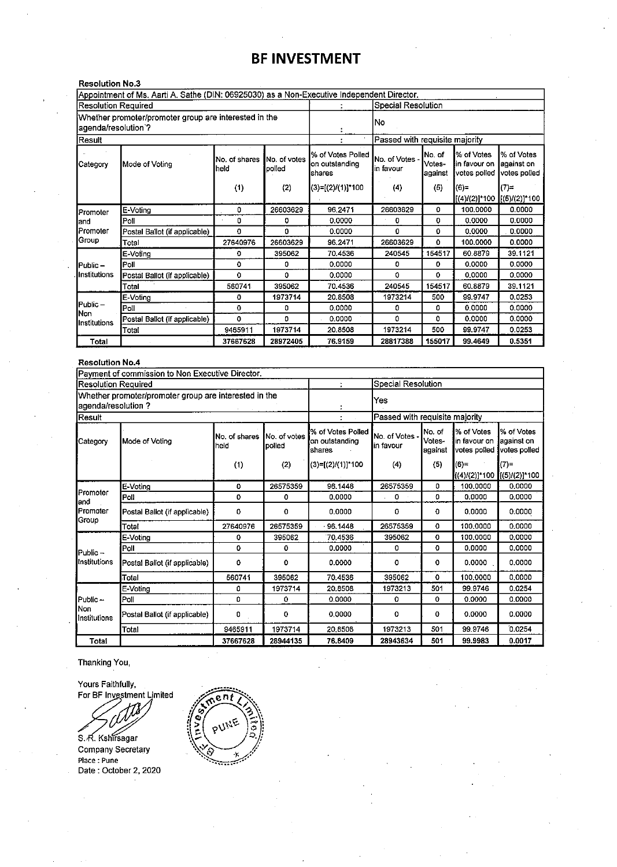# **BF INVESTMENT**

| <b>Resolution No.3</b>              |                                                                                            |                       |                         |                                                |                                |                               |                                             |                                          |
|-------------------------------------|--------------------------------------------------------------------------------------------|-----------------------|-------------------------|------------------------------------------------|--------------------------------|-------------------------------|---------------------------------------------|------------------------------------------|
|                                     | Appointment of Ms. Aarti A. Sathe (DIN: 06925030) as a Non-Executive Independent Director. |                       |                         |                                                |                                |                               |                                             |                                          |
| <b>Resolution Required</b>          |                                                                                            |                       |                         |                                                | Special Resolution             |                               |                                             |                                          |
|                                     | Whether promoter/promoter group are interested in the<br>agenda/resolution`?               |                       |                         |                                                | No                             |                               |                                             |                                          |
| Result                              |                                                                                            |                       |                         |                                                | Passed with requisite majority |                               |                                             |                                          |
| <b>I</b> Mode of Votina<br>Category |                                                                                            | No. of shares<br>held | INo. of votes<br>polled | % of Votes Polled<br>on outstanding<br>Ishares | No. of Votes -<br>in favour    | INo. of<br>Votes-<br>lagainst | % of Votes<br>lin favour on<br>votes polled | % of Votes<br>against on<br>votes polled |
|                                     |                                                                                            | (1)                   | (2)                     | (3)=[(2)/(1)]*100                              | (4)                            | (5)                           | (6)                                         | $(7)$ =<br> [(4)/(2)]*100  [(5)/(2)]*100 |
| Promoter                            | E-Voting                                                                                   | 0                     | 26603629                | 96.2471                                        | 26603629                       | 0                             | 100.0000                                    | 0.0000                                   |
| land                                | Poll                                                                                       | 0                     | ٥                       | 0.0000                                         | o                              | o                             | 0.0000                                      | 0.0000                                   |
| Promoter                            | Postal Ballot (if applicable)                                                              | 0                     | 0                       | 0.0000                                         | $\Omega$                       | 0                             | 0.0000                                      | 0.0000                                   |
| Group                               | Total                                                                                      | 27640976              | 26603629                | 96.2471                                        | 26603629                       | 0                             | 100,0000                                    | 0.0000                                   |
|                                     | E-Voting                                                                                   | ٥                     | 395062                  | 70.4536                                        | 240545                         | 154517                        | 60.8879                                     | 39.1121                                  |
| IPublic –                           | Poll                                                                                       | O                     | 0                       | 0.0000                                         | 0                              | 0.                            | 0.0000                                      | 0.0000                                   |
| Ilnstitutions                       | Postal Ballot (if applicable)                                                              | $\Omega$              | ٥                       | 0.0000                                         | 0                              | 0                             | 0.0000                                      | 0.0000                                   |
|                                     | Total                                                                                      | 560741                | 395062                  | 70.4536                                        | 240545                         | 154517                        | 60.8879                                     | 39.1121                                  |
|                                     | E-Voting                                                                                   | 0                     | 1973714                 | 20.8508                                        | 1973214                        | 500                           | 99.9747                                     | 0.0253                                   |
| Public-                             | Poll                                                                                       | o                     | 0                       | 0.0000                                         | ٥                              | ٥                             | 0.0000                                      | 0.0000                                   |
| lNon<br>Institutions                | Postal Ballot (if applicable)                                                              | o                     | n                       | 0.0000                                         | 0                              | O.                            | 0.0000                                      | 0.0000                                   |
|                                     | Total                                                                                      | 9465911               | 1973714                 | 20.8508                                        | 1973214                        | 500                           | 99.9747                                     | 0.0253                                   |
| Total                               |                                                                                            | 37667628              | 28972405                | 76.9159                                        | 28817388                       | 155017                        | 99.4649                                     | 0.5351                                   |

### **Resolution No.4**

|                            | Payment of commission to Non Executive Director.                            |                       |                        |                                                  |                                |                             |                                             |                                          |
|----------------------------|-----------------------------------------------------------------------------|-----------------------|------------------------|--------------------------------------------------|--------------------------------|-----------------------------|---------------------------------------------|------------------------------------------|
| <b>Resolution Required</b> |                                                                             |                       |                        |                                                  | Special Resolution             |                             |                                             |                                          |
|                            | Whether promoter/promoter group are interested in the<br>agenda/resolution? |                       |                        |                                                  | Yes                            |                             |                                             |                                          |
| Result                     |                                                                             |                       |                        |                                                  | Passed with requisite majority |                             |                                             |                                          |
| Category                   | Mode of Votina                                                              | No. of shares<br>held | No. of votes<br>polled | % of Votes Polled<br>lon outstanding<br>Íshares. | No. of Votes -<br>lin favour   | No. of<br>Votes-<br>against | % of Votes<br>lin favour on<br>votes polled | % of Votes<br>against on<br>votes polled |
|                            |                                                                             | (1)                   | (2)                    | $(3)=[(2) / (1)]^*100$                           | (4)                            | (5)                         | $(6)=$<br>[(4)/(2)]*100 [[(5)/(2)]*100      | $(7)=$                                   |
|                            | E-Voting                                                                    | 0                     | 26575359               | 96.1448                                          | 26575359                       | ٥                           | 100.0000                                    | 0.0000                                   |
| Promoter<br>land           | Poli                                                                        | O                     | 0                      | 0.0000                                           | ٥                              | O.                          | 0.0000                                      | 0.0000                                   |
| Promoter                   | Postal Ballot (if applicable)                                               | 0                     | 0                      | 0.0000                                           | 0                              | 0                           | 0.0000                                      | 0.0000                                   |
| Group                      | Total                                                                       | 27640976              | 26575359               | 96.1448                                          | 26575359                       | $\mathbf 0$                 | 100,0000                                    | 0.0000                                   |
|                            | E-Voting                                                                    | 0                     | 395062                 | 70.4536                                          | 395062                         | 0                           | 100.0000                                    | 0.0000                                   |
| $Public -$                 | Poll                                                                        | 0                     | 0                      | 0.0000                                           | 0                              | o                           | 0.0000                                      | 0.0000                                   |
| Institutions               | Postal Ballot (if applicable)                                               | ٥                     | 0                      | 0.0000                                           | 0                              | 0                           | 0.0000                                      | 0.0000                                   |
|                            | Total                                                                       | 560741                | 395062                 | 70.4536                                          | 395062                         | 0                           | 100.0000                                    | 0.0000                                   |
|                            | E-Voting                                                                    | 0                     | 1973714                | 20.8508                                          | 1973213                        | 501                         | 99.9746                                     | 0.0254                                   |
| Public-                    | Poll                                                                        | $\Omega$              | 0                      | 0.0000                                           | 0                              | 0                           | 0.0000                                      | 0.0000                                   |
| Non<br>Institutions        | Postal Ballot (if applicable)                                               | 0                     | 0                      | 0.0000                                           | 0                              | 0                           | 0.0000                                      | 0.0000                                   |
|                            | Total                                                                       | 9465911               | 1973714                | 20,8508                                          | 1973213                        | 501                         | 99.9746                                     | 0.0254                                   |
| <b>Total</b>               |                                                                             | 37667628              | 28944135               | 76.8409                                          | 28943634                       | 501                         | 99.9983                                     | 0.0017                                   |

Thanking You,

Yours Faithfully, **For BF Investment Limited** 

**COMPANY**<br>S. R. Kshirsagar<br>Company Secretary

**Place: Pune**  Date : October 2, 2020

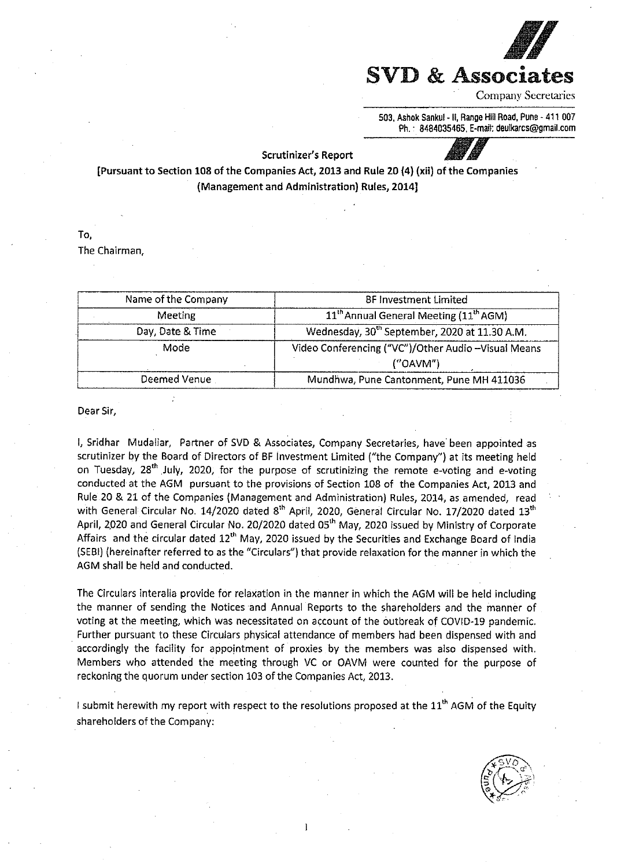

503. Ashok Sankul -11, Range HIii Road, Pune - 411 007 Ph. · 8484035465, E-mail: deulkarcs@gmail.com

#### Scrutinizer's Report

[Pursuant to Section 108 of the Companies Act, 2013 and Rule 20 (4) (xii) of the Companies (Management and Administration) Rules, 2014]

To,

The Chairman,

| Name of the Company | <b>BF Investment Limited</b>                                   |
|---------------------|----------------------------------------------------------------|
| Meeting             | 11 <sup>th</sup> Annual General Meeting (11 <sup>th</sup> AGM) |
| Day, Date & Time    | Wednesday, 30 <sup>th</sup> September, 2020 at 11.30 A.M.      |
| Mode                | Video Conferencing ("VC")/Other Audio - Visual Means           |
|                     | ('OAVM'')                                                      |
| Deemed Venue        | Mundhwa, Pune Cantonment, Pune MH 411036                       |

Dear Sir,

I, Sridhar Mudaliar, Partner of SVD & Associates, Company Secretaries, have· been appointed as scrutinizer by the Board of Directors of BF Investment Limited ("the Company") at its meeting held on Tuesday, 28<sup>th</sup> July, 2020, for the purpose of scrutinizing the remote e-voting and e-voting conducted at the AGM pursuant to the provisions of Section 108 of the Companies Act, 2013 and Rule 20 & 21 of the Companies (Management and Administration) Rules, 2014, as amended, read with General Circular No. 14/2020 dated 8<sup>th</sup> April, 2020, General Circular No. 17/2020 dated 13<sup>th</sup> April, 2020 and General Circular No. 20/2020 dated 05<sup>th</sup> May, 2020 issued by Ministry of Corporate Affairs and the circular dated 12<sup>th</sup> May, 2020 issued by the Securities and Exchange Board of India (SEBI) (hereinafter referred to as the "Circulars") that provide relaxation for the manner in which the AGM shall be held and conducted.

The Circulars interalia provide for relaxation in the manner in which the AGM will be held including the manner of sending the Notices and Annual Reports to the shareholders and the manner of voting at the meeting, which was necessitated on account of the outbreak of COVID-19 pandemic. Further pursuant to these Circulars physical attendance of members had been dispensed with and accordingly the facility for appointment of proxies by the members was also dispensed with. Members who attended the meeting through VC or OAVM were counted for the purpose of reckoning the quorum under section 103 of the Companies Act, 2013.

I submit herewith my report with respect to the resolutions proposed at the  $11<sup>th</sup>$  AGM of the Equity shareholders of the Company:

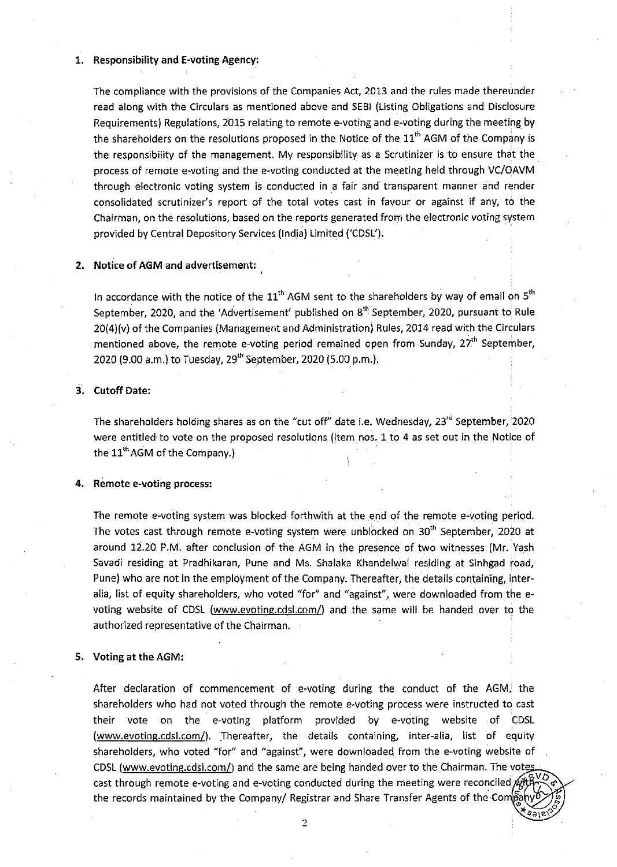#### 1. **Responsibility and E-voting Agency:**

The compliance with the provisions of the Companies Act, 2013 and the rules made thereunder read along with the Circulars as mentioned above and SEBI (Listing Obligations and Disclosure Requirements) Regulations, 2015 relating to remote e-voting and e-voting during the meeting by the shareholders on the resolutions proposed in the Notice of the  $11<sup>th</sup>$  AGM of the Company is the responsibility of the management. My responsibility as a Scrutinizer is to ensure that the process of remote e-voting and the e-voting conducted at the meeting held through VC/OAVM through electronic voting system is conducted in .a fair and transparent manner and render consolidated scrutinizer's report of the total votes cast in favour or against if any, to the Chairman, on the resolutions, based on the reports generated from the electronic voting system provided by Central. Depository Services (India) Limited ('CDSL').

#### **2. Notice of AGM and advertisement:**

In accordance with the notice of the  $11<sup>th</sup>$  AGM sent to the shareholders by way of email on  $5<sup>th</sup>$ September, 2020, and the 'Advertisement' published on 8<sup>th</sup> September, 2020, pursuant to Rule 20(4)(v) of the Companies (Management and Administration) Rules, 2014 read with the Circulars mentioned above, the remote e-voting period remained open from Sunday,  $27<sup>th</sup>$  September, 2020 (9.00 a.m.) to Tuesday, 29<sup>th</sup> September, 2020 (5.00 p.m.).

#### **3. Cutoff Date:**

The shareholders holding shares as on the "cut off" date i.e. Wednesday, 23<sup>rd</sup> September, 2020 were entitled to vote on the proposed resolutions (item nos. 1 to 4 as set out in the Notice of the  $11<sup>th</sup>$  AGM of the Company.)

#### **4. Remote e-voting process:**

The remote e-voting system was blocked forthwith at the end of the remote e-voting period. The votes cast through remote e-voting system were unblocked on 30<sup>th</sup> September, 2020 at around 12.20 P.M. after conclusion of the AGM in the presence of two witnesses (Mr. Yash Savadi residing at Pradhikaran, Pune and Ms. Shalaka Khandelwal residing at Sinhgad road, Pune) who are not in the employment of the Company. Thereafter, the details containing, interalia, list of equity shareholders, who voted "for" and "against", were downloaded from the evoting website of CDSL (www.evoting.cdsl.com/) and the same will be handed over to the authorized representative of the Chairman.

#### **5. Voting at the AGM:**

After declaration of commencement of e-voting during the conduct of the AGM. the shareholders who had not voted through the remote e-voting process were instructed to cast their vote on the e-voting platform provided by e-voting website of CDSL (www.evoting.cdsl.com/). Thereafter, the details containing, inter-alia, list of equity shareholders, who voted "for" and "against", were downloaded from the e-voting website of CDSL (www.evoting.cdsl.com/) and the same are being handed over to the Chairman. The votes cast through remote e-voting and e-voting conducted during the meeting were reconciled  $\mathcal{A}$ the records maintained by the Company/ Registrar and Share Transfer Agents of the-Co

2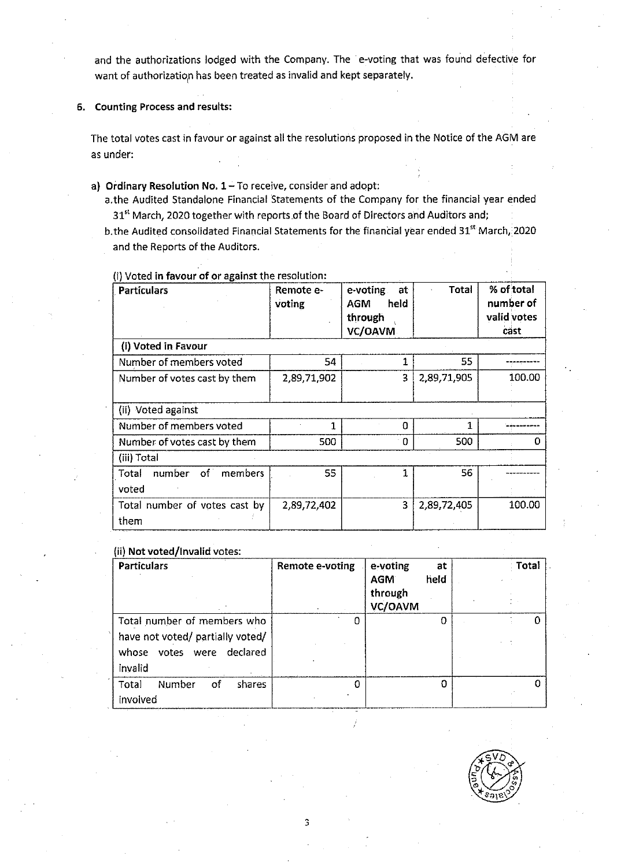and the authorizations lodged with the Company. The e-voting that was found defective for want of authorization has been treated as invalid and kept separately.

## 6. Counting Process and results:

The total votes cast in favour or against all the resolutions proposed in the Notice of the AGM are as under:

## **a) Ordinary Resolution No. 1-To receive, consider and adopt:**

a.the Audited Standalone Financial Statements of the Company for the financial year ended 31<sup>st</sup> March, 2020 together with reports of the Board of Directors and Auditors and;

b. the Audited consolidated Financial Statements for the financial year ended 31<sup>st</sup> March, 2020 and the Reports of the Auditors.

(i) Voted **in favour of or against** the resolution:

| <b>Particulars</b>                    | Remote e-<br>voting | e-voting<br>at<br>held<br><b>AGM</b><br>through<br>VC/OAVM | Total       | % of total<br>number of<br>valid votes<br>cäst |
|---------------------------------------|---------------------|------------------------------------------------------------|-------------|------------------------------------------------|
| (i) Voted in Favour                   |                     |                                                            |             |                                                |
| Number of members voted               | 54                  |                                                            | 55          |                                                |
| Number of votes cast by them          | 2,89,71,902         | 3                                                          | 2,89,71,905 | 100.00                                         |
| (ii) Voted against                    |                     |                                                            |             |                                                |
| Number of members voted               | 1                   | Ω                                                          | 1           |                                                |
| Number of votes cast by them          | 500                 | 0                                                          | 500         |                                                |
| (iii) Total                           |                     |                                                            |             |                                                |
| number<br>members<br>Total<br>of i    | 55                  | 1                                                          | 56          |                                                |
| voted                                 |                     |                                                            |             |                                                |
| Total number of votes cast by<br>them | 2,89.72,402         | 3                                                          | 2,89,72,405 | 100.00                                         |

#### (ii) **Not voted/Invalid** votes:

| <b>Particulars</b>                                                                                         | Remote e-voting | e-voting<br>at<br>held<br><b>AGM</b><br>through<br>VC/OAVM | Total |
|------------------------------------------------------------------------------------------------------------|-----------------|------------------------------------------------------------|-------|
| Total number of members who<br>have not voted/ partially voted/<br>votes were declared<br>whose<br>invalid | n               | 0                                                          |       |
| Total<br>Number<br>shares<br>of<br>involved                                                                | o               | O                                                          |       |

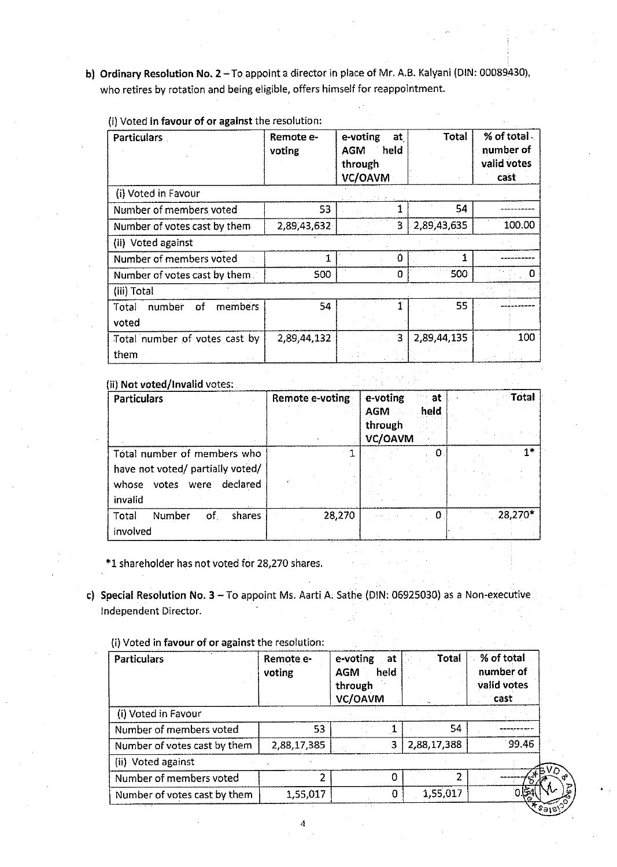bl Ordinary Resolution **No. 2** -To appoint a director in place of Mr. A.B. Kalyani (DIN: 00089430), who retires by rotation and being eligible, offers himself for reappointment.

|  |  |  |  |  |  | (i) Voted in favour of or against the resolution: |
|--|--|--|--|--|--|---------------------------------------------------|
|--|--|--|--|--|--|---------------------------------------------------|

| Particulars                      | Remote e-<br>voting | e-voting<br>at<br>heid<br><b>AGM</b><br>through<br>VC/OAVM | <b>Total</b> | % of total<br>number of<br>valid votes<br>cast |
|----------------------------------|---------------------|------------------------------------------------------------|--------------|------------------------------------------------|
| (i) Voted in Favour              |                     |                                                            |              |                                                |
| Number of members voted          | 53                  |                                                            | 54           |                                                |
| Number of votes cast by them     | 2,89,43,632         | 3                                                          | 2,89,43,635  | 100.00                                         |
| (ii) Voted against               |                     |                                                            |              |                                                |
| Number of members voted          |                     | $\Omega$                                                   |              |                                                |
| Number of votes cast by them.    | 500                 | 0                                                          | 500          |                                                |
| (iii) Total                      |                     |                                                            |              |                                                |
| members<br>number<br>of<br>Total | 54                  |                                                            | 55           |                                                |
| voted                            |                     |                                                            |              |                                                |
| Total number of votes cast by    | 2,89,44,132         | 3                                                          | 2,89,44,135  | 100                                            |
| them                             |                     |                                                            |              |                                                |

(ii) **Not voted/Invalid** votes·

| <b>Particulars</b>                                                                                         | Remote e-voting | e-voting<br>at<br>held<br><b>AGM</b><br>through<br>VC/OAVM | Total   |
|------------------------------------------------------------------------------------------------------------|-----------------|------------------------------------------------------------|---------|
| Total number of members who<br>have not voted/ partially voted/<br>votes were declared<br>wnose<br>invalid |                 |                                                            | $1^*$   |
| $\circ$ f<br>Number<br>Total<br>shares<br>involved                                                         | 28,270          |                                                            | 28,270* |

\*1 shareholder has not voted for 28,270 shares.

**c) Special Resolution No. 3** - To appoint Ms. Aarti **A.** Sathe (DIN: 06925030) as a Non-executive Independent Director.

|  |  |  | (i) Voted in favour of or against the resolution: |
|--|--|--|---------------------------------------------------|
|  |  |  |                                                   |

| <b>Particulars</b>           | Remote e-<br>voting | e-voting<br>at<br>held<br><b>AGM</b><br>through<br>VC/OAVM | Total       | % of total<br>number of<br>valid votes<br>cast |
|------------------------------|---------------------|------------------------------------------------------------|-------------|------------------------------------------------|
| (i) Voted in Favour          |                     |                                                            |             |                                                |
| Number of members voted      | 53                  |                                                            | 54          |                                                |
| Number of votes cast by them | 2,88,17,385         | 3                                                          | 2,88,17,388 | 99.46                                          |
| (ii) Voted against           |                     |                                                            |             |                                                |
| Number of members voted      |                     |                                                            |             |                                                |
| Number of votes cast by them | 1,55,017            |                                                            | 1,55,017    |                                                |
|                              |                     |                                                            |             |                                                |

Α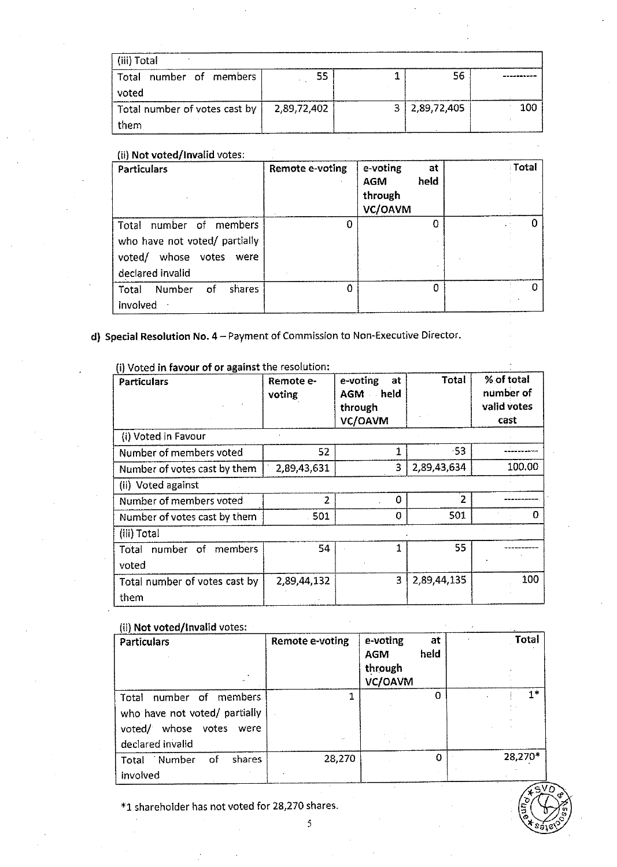| (iii) Total                   |             |             |     |
|-------------------------------|-------------|-------------|-----|
| number of members<br>Total    | 55          | 56          |     |
| voted                         |             |             |     |
| Total number of votes cast by | 2,89,72,402 | 2.89,72,405 | 100 |
| them                          |             |             |     |

## (ii) **Not voted/Invalid** votes·

| <b>Particulars</b>                                                                                               | Remote e-voting | e-voting<br>at<br>heid<br><b>AGM</b><br>through<br>VC/OAVM | <b>Total</b> |
|------------------------------------------------------------------------------------------------------------------|-----------------|------------------------------------------------------------|--------------|
| members<br>number of<br>Total<br>who have not voted/ partially<br>whose votes were<br>voted/<br>declared invalid | 0               | <sup>0</sup>                                               | U            |
| Total<br>Number<br>shares<br><b>o</b> f<br>involved                                                              | Ω               | O                                                          | 0            |

# **d) Special Resolution No. 4 - Payment of Commission to Non-Executive Director.**

{i) Voted **in favour of or against** the resolution-

| <b>Particulars</b>            | Remote e-<br>voting | e-voting<br>at<br>AGM held<br>through<br>VC/OAVM | Total       | % of total<br>number of<br>valid votes<br>cast |  |  |
|-------------------------------|---------------------|--------------------------------------------------|-------------|------------------------------------------------|--|--|
| (i) Voted in Favour           |                     |                                                  |             |                                                |  |  |
| Number of members voted       | 52                  |                                                  | $-53$       |                                                |  |  |
| Number of votes cast by them  | 2,89,43,631         | 3                                                | 2,89,43,634 | 100.00                                         |  |  |
| (ii) Voted against            |                     |                                                  |             |                                                |  |  |
| Number of members voted       | $\overline{2}$      | 0                                                | 2           |                                                |  |  |
| Number of votes cast by them  | 501                 | n                                                | 501         | o                                              |  |  |
| (iii) Total                   |                     |                                                  |             |                                                |  |  |
| number of members<br>Total    | 54                  |                                                  | 55          |                                                |  |  |
| voted                         |                     |                                                  |             |                                                |  |  |
| Total number of votes cast by | 2,89,44,132         | 3                                                | 2,89,44,135 | 100                                            |  |  |
| them                          |                     |                                                  |             |                                                |  |  |

## {ii) **Not voted/Invalid** votes:

| uu not rotaa mirraana rotoot                                                                                      |                 |                                                     |         |
|-------------------------------------------------------------------------------------------------------------------|-----------------|-----------------------------------------------------|---------|
| Particulars                                                                                                       | Remote e-voting | e-voting<br>at<br>held<br>AGM<br>through<br>VC/OAVM | Total   |
| number of<br>members.<br>Total<br>who have not voted/ partially<br>voted/ whose votes<br>were<br>declared invalid |                 | O                                                   | 1*      |
| shares<br>Total Number<br>of<br>involved                                                                          | 28,270          | 0                                                   | 28,270* |

\*1 shareholder has not voted for 28,270 shares.

5